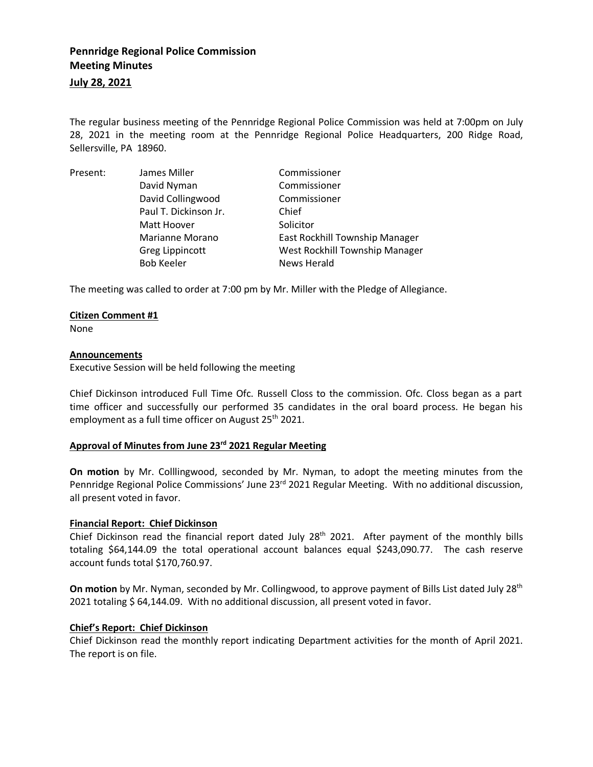# **Pennridge Regional Police Commission Meeting Minutes**

## **July 28, 2021**

The regular business meeting of the Pennridge Regional Police Commission was held at 7:00pm on July 28, 2021 in the meeting room at the Pennridge Regional Police Headquarters, 200 Ridge Road, Sellersville, PA 18960.

| Present: | James Miller          | Commissioner                   |
|----------|-----------------------|--------------------------------|
|          | David Nyman           | Commissioner                   |
|          | David Collingwood     | Commissioner                   |
|          | Paul T. Dickinson Jr. | Chief                          |
|          | Matt Hoover           | Solicitor                      |
|          | Marianne Morano       | East Rockhill Township Manager |
|          | Greg Lippincott       | West Rockhill Township Manager |
|          | <b>Bob Keeler</b>     | <b>News Herald</b>             |

The meeting was called to order at 7:00 pm by Mr. Miller with the Pledge of Allegiance.

#### **Citizen Comment #1**

None

#### **Announcements**

Executive Session will be held following the meeting

Chief Dickinson introduced Full Time Ofc. Russell Closs to the commission. Ofc. Closs began as a part time officer and successfully our performed 35 candidates in the oral board process. He began his employment as a full time officer on August 25<sup>th</sup> 2021.

## **Approval of Minutes from June 23rd 2021 Regular Meeting**

**On motion** by Mr. Colllingwood, seconded by Mr. Nyman, to adopt the meeting minutes from the Pennridge Regional Police Commissions' June 23<sup>rd</sup> 2021 Regular Meeting. With no additional discussion, all present voted in favor.

## **Financial Report: Chief Dickinson**

Chief Dickinson read the financial report dated July 28<sup>th</sup> 2021. After payment of the monthly bills totaling \$64,144.09 the total operational account balances equal \$243,090.77. The cash reserve account funds total \$170,760.97.

**On motion** by Mr. Nyman, seconded by Mr. Collingwood, to approve payment of Bills List dated July 28th 2021 totaling \$ 64,144.09. With no additional discussion, all present voted in favor.

## **Chief's Report: Chief Dickinson**

Chief Dickinson read the monthly report indicating Department activities for the month of April 2021. The report is on file.